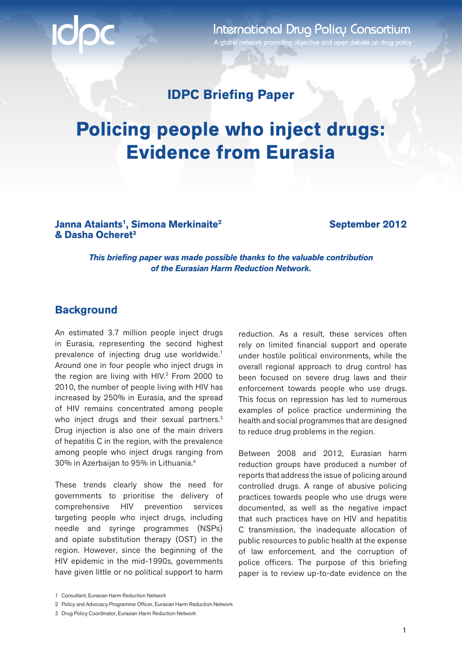International Drug Policy Consortium

A global network promoting objective and open debate on drug policy

# **IDPC Briefing Paper**

# **Policing people who inject drugs: Evidence from Eurasia**

**Janna Ataiants<sup>1</sup>, Simona Merkinaite<sup>2</sup> & Dasha Ocheret3**

**September 2012**

*This briefing paper was made possible thanks to the valuable contribution of the Eurasian Harm Reduction Network.*

### **Background**

An estimated 3.7 million people inject drugs in Eurasia, representing the second highest prevalence of injecting drug use worldwide.<sup>1</sup> Around one in four people who inject drugs in the region are living with HIV.2 From 2000 to 2010, the number of people living with HIV has increased by 250% in Eurasia, and the spread of HIV remains concentrated among people who inject drugs and their sexual partners.<sup>3</sup> Drug injection is also one of the main drivers of hepatitis C in the region, with the prevalence among people who inject drugs ranging from 30% in Azerbaijan to 95% in Lithuania.4

These trends clearly show the need for governments to prioritise the delivery of comprehensive HIV prevention services targeting people who inject drugs, including needle and syringe programmes (NSPs) and opiate substitution therapy (OST) in the region. However, since the beginning of the HIV epidemic in the mid-1990s, governments have given little or no political support to harm

reduction. As a result, these services often rely on limited financial support and operate under hostile political environments, while the overall regional approach to drug control has been focused on severe drug laws and their enforcement towards people who use drugs. This focus on repression has led to numerous examples of police practice undermining the health and social programmes that are designed to reduce drug problems in the region.

Between 2008 and 2012, Eurasian harm reduction groups have produced a number of reports that address the issue of policing around controlled drugs. A range of abusive policing practices towards people who use drugs were documented, as well as the negative impact that such practices have on HIV and hepatitis C transmission, the inadequate allocation of public resources to public health at the expense of law enforcement, and the corruption of police officers. The purpose of this briefing paper is to review up-to-date evidence on the

<sup>1</sup> Consultant, Eurasian Harm Reduction Network

<sup>2</sup> Policy and Advocacy Programme Officer, Eurasian Harm Reduction Network

<sup>3</sup> Drug Policy Coordinator, Eurasian Harm Reduction Network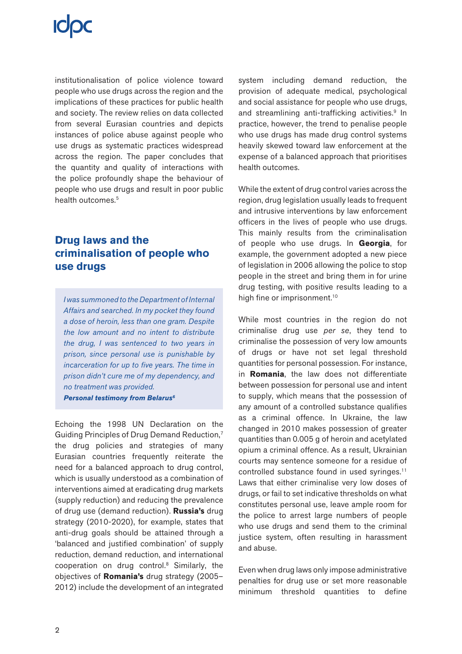institutionalisation of police violence toward people who use drugs across the region and the implications of these practices for public health and society. The review relies on data collected from several Eurasian countries and depicts instances of police abuse against people who use drugs as systematic practices widespread across the region. The paper concludes that the quantity and quality of interactions with the police profoundly shape the behaviour of people who use drugs and result in poor public health outcomes.<sup>5</sup>

# **Drug laws and the criminalisation of people who use drugs**

*I was summoned to the Department of Internal Affairs and searched. In my pocket they found a dose of heroin, less than one gram. Despite the low amount and no intent to distribute the drug, I was sentenced to two years in prison, since personal use is punishable by incarceration for up to five years. The time in prison didn't cure me of my dependency, and no treatment was provided. Personal testimony from Belarus6*

Echoing the 1998 UN Declaration on the Guiding Principles of Drug Demand Reduction,7 the drug policies and strategies of many Eurasian countries frequently reiterate the need for a balanced approach to drug control, which is usually understood as a combination of interventions aimed at eradicating drug markets (supply reduction) and reducing the prevalence of drug use (demand reduction). **Russia's** drug strategy (2010-2020), for example, states that anti-drug goals should be attained through a 'balanced and justified combination' of supply reduction, demand reduction, and international cooperation on drug control.8 Similarly, the objectives of **Romania's** drug strategy (2005– 2012) include the development of an integrated

system including demand reduction, the provision of adequate medical, psychological and social assistance for people who use drugs, and streamlining anti-trafficking activities.<sup>9</sup> In practice, however, the trend to penalise people who use drugs has made drug control systems heavily skewed toward law enforcement at the expense of a balanced approach that prioritises health outcomes.

While the extent of drug control varies across the region, drug legislation usually leads to frequent and intrusive interventions by law enforcement officers in the lives of people who use drugs. This mainly results from the criminalisation of people who use drugs. In **Georgia**, for example, the government adopted a new piece of legislation in 2006 allowing the police to stop people in the street and bring them in for urine drug testing, with positive results leading to a high fine or imprisonment.<sup>10</sup>

While most countries in the region do not criminalise drug use *per se*, they tend to criminalise the possession of very low amounts of drugs or have not set legal threshold quantities for personal possession. For instance, in **Romania**, the law does not differentiate between possession for personal use and intent to supply, which means that the possession of any amount of a controlled substance qualifies as a criminal offence. In Ukraine, the law changed in 2010 makes possession of greater quantities than 0.005 g of heroin and acetylated opium a criminal offence. As a result, Ukrainian courts may sentence someone for a residue of controlled substance found in used syringes.11 Laws that either criminalise very low doses of drugs, or fail to set indicative thresholds on what constitutes personal use, leave ample room for the police to arrest large numbers of people who use drugs and send them to the criminal justice system, often resulting in harassment and abuse.

Even when drug laws only impose administrative penalties for drug use or set more reasonable minimum threshold quantities to define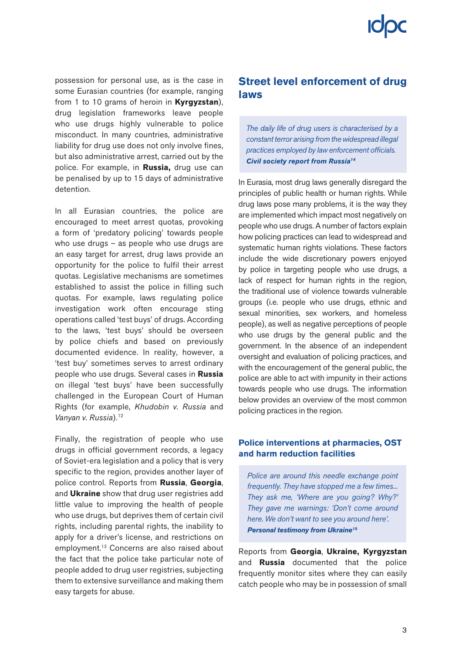possession for personal use, as is the case in some Eurasian countries (for example, ranging from 1 to 10 grams of heroin in **Kyrgyzstan**), drug legislation frameworks leave people who use drugs highly vulnerable to police misconduct. In many countries, administrative liability for drug use does not only involve fines, but also administrative arrest, carried out by the police. For example, in **Russia,** drug use can be penalised by up to 15 days of administrative detention.

In all Eurasian countries, the police are encouraged to meet arrest quotas, provoking a form of 'predatory policing' towards people who use drugs – as people who use drugs are an easy target for arrest, drug laws provide an opportunity for the police to fulfil their arrest quotas. Legislative mechanisms are sometimes established to assist the police in filling such quotas. For example, laws regulating police investigation work often encourage sting operations called 'test buys' of drugs. According to the laws, 'test buys' should be overseen by police chiefs and based on previously documented evidence. In reality, however, a 'test buy' sometimes serves to arrest ordinary people who use drugs. Several cases in **Russia** on illegal 'test buys' have been successfully challenged in the European Court of Human Rights (for example, *Khudobin v. Russia* and *Vanyan v. Russia*).12

Finally, the registration of people who use drugs in official government records, a legacy of Soviet-era legislation and a policy that is very specific to the region, provides another layer of police control. Reports from **Russia**, **Georgia**, and **Ukraine** show that drug user registries add little value to improving the health of people who use drugs, but deprives them of certain civil rights, including parental rights, the inability to apply for a driver's license, and restrictions on employment.13 Concerns are also raised about the fact that the police take particular note of people added to drug user registries, subjecting them to extensive surveillance and making them easy targets for abuse.

# **Street level enforcement of drug laws**

*The daily life of drug users is characterised by a constant terror arising from the widespread illegal practices employed by law enforcement officials. Civil society report from Russia14*

In Eurasia, most drug laws generally disregard the principles of public health or human rights. While drug laws pose many problems, it is the way they are implemented which impact most negatively on people who use drugs. A number of factors explain how policing practices can lead to widespread and systematic human rights violations. These factors include the wide discretionary powers enjoyed by police in targeting people who use drugs, a lack of respect for human rights in the region, the traditional use of violence towards vulnerable groups (i.e. people who use drugs, ethnic and sexual minorities, sex workers, and homeless people), as well as negative perceptions of people who use drugs by the general public and the government. In the absence of an independent oversight and evaluation of policing practices, and with the encouragement of the general public, the police are able to act with impunity in their actions towards people who use drugs. The information below provides an overview of the most common policing practices in the region.

### **Police interventions at pharmacies, OST and harm reduction facilities**

*Police are around this needle exchange point frequently. They have stopped me a few times... They ask me, 'Where are you going? Why?' They gave me warnings: 'Don't come around here. We don't want to see you around here'. Personal testimony from Ukraine15*

Reports from **Georgia**, **Ukraine, Kyrgyzstan**  and **Russia** documented that the police frequently monitor sites where they can easily catch people who may be in possession of small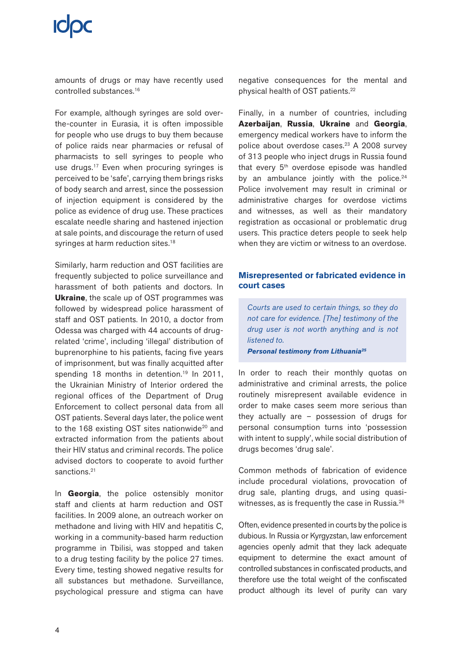amounts of drugs or may have recently used controlled substances.16

For example, although syringes are sold overthe-counter in Eurasia, it is often impossible for people who use drugs to buy them because of police raids near pharmacies or refusal of pharmacists to sell syringes to people who use drugs.<sup>17</sup> Even when procuring syringes is perceived to be 'safe', carrying them brings risks of body search and arrest, since the possession of injection equipment is considered by the police as evidence of drug use. These practices escalate needle sharing and hastened injection at sale points, and discourage the return of used syringes at harm reduction sites.<sup>18</sup>

Similarly, harm reduction and OST facilities are frequently subjected to police surveillance and harassment of both patients and doctors. In **Ukraine**, the scale up of OST programmes was followed by widespread police harassment of staff and OST patients. In 2010, a doctor from Odessa was charged with 44 accounts of drugrelated 'crime', including 'illegal' distribution of buprenorphine to his patients, facing five years of imprisonment, but was finally acquitted after spending 18 months in detention.<sup>19</sup> In 2011, the Ukrainian Ministry of Interior ordered the regional offices of the Department of Drug Enforcement to collect personal data from all OST patients. Several days later, the police went to the 168 existing OST sites nationwide<sup>20</sup> and extracted information from the patients about their HIV status and criminal records. The police advised doctors to cooperate to avoid further sanctions.<sup>21</sup>

In **Georgia**, the police ostensibly monitor staff and clients at harm reduction and OST facilities. In 2009 alone, an outreach worker on methadone and living with HIV and hepatitis C, working in a community-based harm reduction programme in Tbilisi, was stopped and taken to a drug testing facility by the police 27 times. Every time, testing showed negative results for all substances but methadone. Surveillance, psychological pressure and stigma can have

negative consequences for the mental and physical health of OST patients.22

Finally, in a number of countries, including **Azerbaijan**, **Russia**, **Ukraine** and **Georgia**, emergency medical workers have to inform the police about overdose cases.<sup>23</sup> A 2008 survey of 313 people who inject drugs in Russia found that every  $5<sup>th</sup>$  overdose episode was handled by an ambulance jointly with the police. $24$ Police involvement may result in criminal or administrative charges for overdose victims and witnesses, as well as their mandatory registration as occasional or problematic drug users. This practice deters people to seek help when they are victim or witness to an overdose.

### **Misrepresented or fabricated evidence in court cases**

*Courts are used to certain things, so they do not care for evidence. [The] testimony of the drug user is not worth anything and is not listened to.* 

*Personal testimony from Lithuania25*

In order to reach their monthly quotas on administrative and criminal arrests, the police routinely misrepresent available evidence in order to make cases seem more serious than they actually are – possession of drugs for personal consumption turns into 'possession with intent to supply', while social distribution of drugs becomes 'drug sale'.

Common methods of fabrication of evidence include procedural violations, provocation of drug sale, planting drugs, and using quasiwitnesses, as is frequently the case in Russia.26

Often, evidence presented in courts by the police is dubious. In Russia or Kyrgyzstan, law enforcement agencies openly admit that they lack adequate equipment to determine the exact amount of controlled substances in confiscated products, and therefore use the total weight of the confiscated product although its level of purity can vary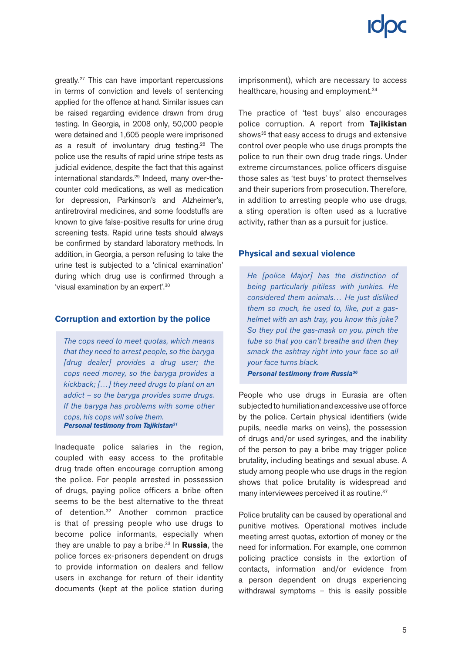greatly.27 This can have important repercussions in terms of conviction and levels of sentencing applied for the offence at hand. Similar issues can be raised regarding evidence drawn from drug testing. In Georgia, in 2008 only, 50,000 people were detained and 1,605 people were imprisoned as a result of involuntary drug testing. $28$  The police use the results of rapid urine stripe tests as judicial evidence, despite the fact that this against international standards.29 Indeed, many over-thecounter cold medications, as well as medication for depression, Parkinson's and Alzheimer's, antiretroviral medicines, and some foodstuffs are known to give false-positive results for urine drug screening tests. Rapid urine tests should always be confirmed by standard laboratory methods. In addition, in Georgia, a person refusing to take the urine test is subjected to a 'clinical examination' during which drug use is confirmed through a 'visual examination by an expert'.30

### **Corruption and extortion by the police**

*The cops need to meet quotas, which means that they need to arrest people, so the baryga [drug dealer] provides a drug user; the cops need money, so the baryga provides a kickback; […] they need drugs to plant on an addict – so the baryga provides some drugs. If the baryga has problems with some other cops, his cops will solve them. Personal testimony from Tajikistan31*

Inadequate police salaries in the region, coupled with easy access to the profitable drug trade often encourage corruption among the police. For people arrested in possession of drugs, paying police officers a bribe often seems to be the best alternative to the threat of detention.32 Another common practice is that of pressing people who use drugs to become police informants, especially when they are unable to pay a bribe.33 In **Russia**, the police forces ex-prisoners dependent on drugs to provide information on dealers and fellow users in exchange for return of their identity documents (kept at the police station during

imprisonment), which are necessary to access healthcare, housing and employment.<sup>34</sup>

The practice of 'test buys' also encourages police corruption. A report from **Tajikistan** shows<sup>35</sup> that easy access to drugs and extensive control over people who use drugs prompts the police to run their own drug trade rings. Under extreme circumstances, police officers disguise those sales as 'test buys' to protect themselves and their superiors from prosecution. Therefore, in addition to arresting people who use drugs, a sting operation is often used as a lucrative activity, rather than as a pursuit for justice.

### **Physical and sexual violence**

*He [police Major] has the distinction of being particularly pitiless with junkies. He considered them animals… He just disliked them so much, he used to, like, put a gashelmet with an ash tray, you know this joke? So they put the gas-mask on you, pinch the tube so that you can't breathe and then they smack the ashtray right into your face so all your face turns black. Personal testimony from Russia36*

People who use drugs in Eurasia are often subjected to humiliation and excessive use of force by the police. Certain physical identifiers (wide pupils, needle marks on veins), the possession of drugs and/or used syringes, and the inability of the person to pay a bribe may trigger police brutality, including beatings and sexual abuse. A study among people who use drugs in the region shows that police brutality is widespread and many interviewees perceived it as routine.<sup>37</sup>

Police brutality can be caused by operational and punitive motives. Operational motives include meeting arrest quotas, extortion of money or the need for information. For example, one common policing practice consists in the extortion of contacts, information and/or evidence from a person dependent on drugs experiencing withdrawal symptoms – this is easily possible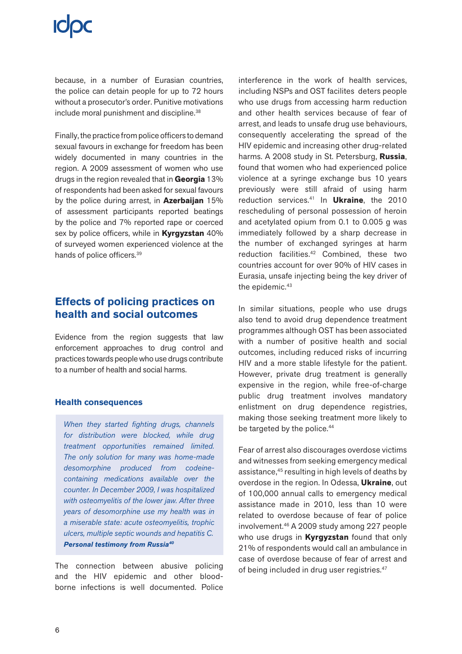because, in a number of Eurasian countries, the police can detain people for up to 72 hours without a prosecutor's order. Punitive motivations include moral punishment and discipline.<sup>38</sup>

Finally, the practice from police officers to demand sexual favours in exchange for freedom has been widely documented in many countries in the region. A 2009 assessment of women who use drugs in the region revealed that in **Georgia** 13% of respondents had been asked for sexual favours by the police during arrest, in **Azerbaijan** 15% of assessment participants reported beatings by the police and 7% reported rape or coerced sex by police officers, while in **Kyrgyzstan** 40% of surveyed women experienced violence at the hands of police officers.39

# **Effects of policing practices on health and social outcomes**

Evidence from the region suggests that law enforcement approaches to drug control and practices towards people who use drugs contribute to a number of health and social harms.

### **Health consequences**

*When they started fighting drugs, channels for distribution were blocked, while drug treatment opportunities remained limited. The only solution for many was home-made desomorphine produced from codeinecontaining medications available over the counter. In December 2009, I was hospitalized with osteomyelitis of the lower jaw. After three years of desomorphine use my health was in a miserable state: acute osteomyelitis, trophic ulcers, multiple septic wounds and hepatitis C. Personal testimony from Russia40*

The connection between abusive policing and the HIV epidemic and other bloodborne infections is well documented. Police interference in the work of health services, including NSPs and OST facilites deters people who use drugs from accessing harm reduction and other health services because of fear of arrest, and leads to unsafe drug use behaviours, consequently accelerating the spread of the HIV epidemic and increasing other drug-related harms. A 2008 study in St. Petersburg, **Russia**, found that women who had experienced police violence at a syringe exchange bus 10 years previously were still afraid of using harm reduction services.41 In **Ukraine**, the 2010 rescheduling of personal possession of heroin and acetylated opium from 0.1 to 0.005 g was immediately followed by a sharp decrease in the number of exchanged syringes at harm reduction facilities.42 Combined, these two countries account for over 90% of HIV cases in Eurasia, unsafe injecting being the key driver of the epidemic.<sup>43</sup>

In similar situations, people who use drugs also tend to avoid drug dependence treatment programmes although OST has been associated with a number of positive health and social outcomes, including reduced risks of incurring HIV and a more stable lifestyle for the patient. However, private drug treatment is generally expensive in the region, while free-of-charge public drug treatment involves mandatory enlistment on drug dependence registries, making those seeking treatment more likely to be targeted by the police.<sup>44</sup>

Fear of arrest also discourages overdose victims and witnesses from seeking emergency medical assistance,45 resulting in high levels of deaths by overdose in the region. In Odessa, **Ukraine**, out of 100,000 annual calls to emergency medical assistance made in 2010, less than 10 were related to overdose because of fear of police involvement.46 A 2009 study among 227 people who use drugs in **Kyrgyzstan** found that only 21% of respondents would call an ambulance in case of overdose because of fear of arrest and of being included in drug user registries.<sup>47</sup>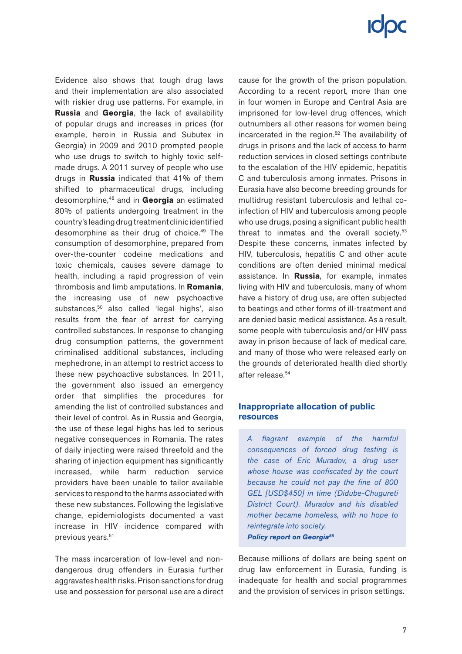Evidence also shows that tough drug laws and their implementation are also associated with riskier drug use patterns. For example, in **Russia** and **Georgia**, the lack of availability of popular drugs and increases in prices (for example, heroin in Russia and Subutex in Georgia) in 2009 and 2010 prompted people who use drugs to switch to highly toxic selfmade drugs. A 2011 survey of people who use drugs in **Russia** indicated that 41% of them shifted to pharmaceutical drugs, including desomorphine,48 and in **Georgia** an estimated 80% of patients undergoing treatment in the country's leading drug treatment clinic identified desomorphine as their drug of choice.<sup>49</sup> The consumption of desomorphine, prepared from over-the-counter codeine medications and toxic chemicals, causes severe damage to health, including a rapid progression of vein thrombosis and limb amputations. In **Romania**, the increasing use of new psychoactive substances,<sup>50</sup> also called 'legal highs', also results from the fear of arrest for carrying controlled substances. In response to changing drug consumption patterns, the government criminalised additional substances, including mephedrone, in an attempt to restrict access to these new psychoactive substances. In 2011, the government also issued an emergency order that simplifies the procedures for amending the list of controlled substances and their level of control. As in Russia and Georgia, the use of these legal highs has led to serious negative consequences in Romania. The rates of daily injecting were raised threefold and the sharing of injection equipment has significantly increased, while harm reduction service providers have been unable to tailor available services to respond to the harms associated with these new substances. Following the legislative change, epidemiologists documented a vast increase in HIV incidence compared with previous years.<sup>51</sup>

The mass incarceration of low-level and nondangerous drug offenders in Eurasia further aggravates health risks. Prison sanctions for drug use and possession for personal use are a direct cause for the growth of the prison population. According to a recent report, more than one in four women in Europe and Central Asia are imprisoned for low-level drug offences, which outnumbers all other reasons for women being incarcerated in the region.<sup>52</sup> The availability of drugs in prisons and the lack of access to harm reduction services in closed settings contribute to the escalation of the HIV epidemic, hepatitis C and tuberculosis among inmates. Prisons in Eurasia have also become breeding grounds for multidrug resistant tuberculosis and lethal coinfection of HIV and tuberculosis among people who use drugs, posing a significant public health threat to inmates and the overall society.<sup>53</sup> Despite these concerns, inmates infected by HIV, tuberculosis, hepatitis C and other acute conditions are often denied minimal medical assistance. In **Russia**, for example, inmates living with HIV and tuberculosis, many of whom have a history of drug use, are often subjected to beatings and other forms of ill-treatment and are denied basic medical assistance. As a result, some people with tuberculosis and/or HIV pass away in prison because of lack of medical care, and many of those who were released early on the grounds of deteriorated health died shortly after release.54

### **Inappropriate allocation of public resources**

*A flagrant example of the harmful consequences of forced drug testing is the case of Eric Muradov, a drug user whose house was confiscated by the court because he could not pay the fine of 800 GEL [USD\$450] in time (Didube-Chugureti District Court). Muradov and his disabled mother became homeless, with no hope to reintegrate into society. Policy report on Georgia55*

Because millions of dollars are being spent on drug law enforcement in Eurasia, funding is inadequate for health and social programmes and the provision of services in prison settings.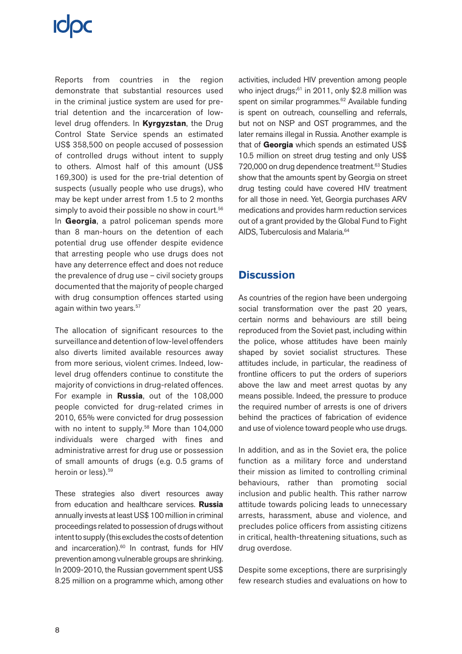Reports from countries in the region demonstrate that substantial resources used in the criminal justice system are used for pretrial detention and the incarceration of lowlevel drug offenders. In **Kyrgyzstan**, the Drug Control State Service spends an estimated US\$ 358,500 on people accused of possession of controlled drugs without intent to supply to others. Almost half of this amount (US\$ 169,300) is used for the pre-trial detention of suspects (usually people who use drugs), who may be kept under arrest from 1.5 to 2 months simply to avoid their possible no show in court.<sup>56</sup> In **Georgia**, a patrol policeman spends more than 8 man-hours on the detention of each potential drug use offender despite evidence that arresting people who use drugs does not have any deterrence effect and does not reduce the prevalence of drug use – civil society groups documented that the majority of people charged with drug consumption offences started using again within two years.<sup>57</sup>

The allocation of significant resources to the surveillance and detention of low-level offenders also diverts limited available resources away from more serious, violent crimes. Indeed, lowlevel drug offenders continue to constitute the majority of convictions in drug-related offences. For example in **Russia**, out of the 108,000 people convicted for drug-related crimes in 2010, 65% were convicted for drug possession with no intent to supply.<sup>58</sup> More than 104,000 individuals were charged with fines and administrative arrest for drug use or possession of small amounts of drugs (e.g. 0.5 grams of heroin or less).<sup>59</sup>

These strategies also divert resources away from education and healthcare services. **Russia** annually invests at least US\$ 100 million in criminal proceedings related to possession of drugs without intent to supply (this excludes the costs of detention and incarceration).<sup>60</sup> In contrast, funds for HIV prevention among vulnerable groups are shrinking. In 2009-2010, the Russian government spent US\$ 8.25 million on a programme which, among other activities, included HIV prevention among people who inject drugs; $61$  in 2011, only \$2.8 million was spent on similar programmes.<sup>62</sup> Available funding is spent on outreach, counselling and referrals, but not on NSP and OST programmes, and the later remains illegal in Russia. Another example is that of **Georgia** which spends an estimated US\$ 10.5 million on street drug testing and only US\$ 720,000 on drug dependence treatment.<sup>63</sup> Studies show that the amounts spent by Georgia on street drug testing could have covered HIV treatment for all those in need. Yet, Georgia purchases ARV medications and provides harm reduction services out of a grant provided by the Global Fund to Fight AIDS, Tuberculosis and Malaria.<sup>64</sup>

## **Discussion**

As countries of the region have been undergoing social transformation over the past 20 years, certain norms and behaviours are still being reproduced from the Soviet past, including within the police, whose attitudes have been mainly shaped by soviet socialist structures. These attitudes include, in particular, the readiness of frontline officers to put the orders of superiors above the law and meet arrest quotas by any means possible. Indeed, the pressure to produce the required number of arrests is one of drivers behind the practices of fabrication of evidence and use of violence toward people who use drugs.

In addition, and as in the Soviet era, the police function as a military force and understand their mission as limited to controlling criminal behaviours, rather than promoting social inclusion and public health. This rather narrow attitude towards policing leads to unnecessary arrests, harassment, abuse and violence, and precludes police officers from assisting citizens in critical, health-threatening situations, such as drug overdose.

Despite some exceptions, there are surprisingly few research studies and evaluations on how to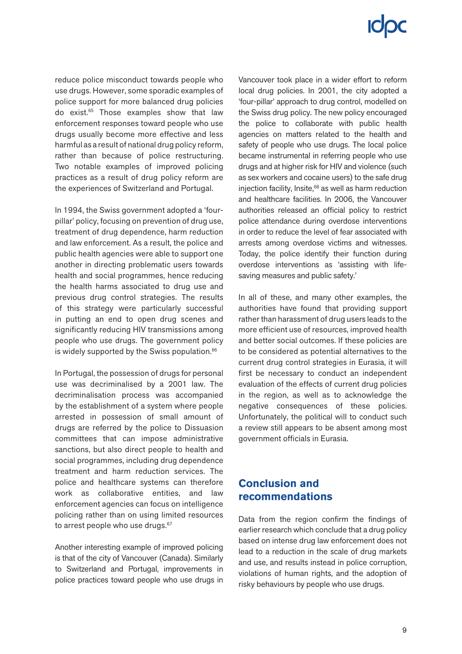reduce police misconduct towards people who use drugs. However, some sporadic examples of police support for more balanced drug policies do exist.65 Those examples show that law enforcement responses toward people who use drugs usually become more effective and less harmful as a result of national drug policy reform, rather than because of police restructuring. Two notable examples of improved policing practices as a result of drug policy reform are the experiences of Switzerland and Portugal.

In 1994, the Swiss government adopted a 'fourpillar' policy, focusing on prevention of drug use, treatment of drug dependence, harm reduction and law enforcement. As a result, the police and public health agencies were able to support one another in directing problematic users towards health and social programmes, hence reducing the health harms associated to drug use and previous drug control strategies. The results of this strategy were particularly successful in putting an end to open drug scenes and significantly reducing HIV transmissions among people who use drugs. The government policy is widely supported by the Swiss population.<sup>66</sup>

In Portugal, the possession of drugs for personal use was decriminalised by a 2001 law. The decriminalisation process was accompanied by the establishment of a system where people arrested in possession of small amount of drugs are referred by the police to Dissuasion committees that can impose administrative sanctions, but also direct people to health and social programmes, including drug dependence treatment and harm reduction services. The police and healthcare systems can therefore work as collaborative entities, and law enforcement agencies can focus on intelligence policing rather than on using limited resources to arrest people who use drugs.<sup>67</sup>

Another interesting example of improved policing is that of the city of Vancouver (Canada). Similarly to Switzerland and Portugal, improvements in police practices toward people who use drugs in Vancouver took place in a wider effort to reform local drug policies. In 2001, the city adopted a 'four-pillar' approach to drug control, modelled on the Swiss drug policy. The new policy encouraged the police to collaborate with public health agencies on matters related to the health and safety of people who use drugs. The local police became instrumental in referring people who use drugs and at higher risk for HIV and violence (such as sex workers and cocaine users) to the safe drug injection facility, Insite, $68$  as well as harm reduction and healthcare facilities. In 2006, the Vancouver authorities released an official policy to restrict police attendance during overdose interventions in order to reduce the level of fear associated with arrests among overdose victims and witnesses. Today, the police identify their function during overdose interventions as 'assisting with lifesaving measures and public safety.'

In all of these, and many other examples, the authorities have found that providing support rather than harassment of drug users leads to the more efficient use of resources, improved health and better social outcomes. If these policies are to be considered as potential alternatives to the current drug control strategies in Eurasia, it will first be necessary to conduct an independent evaluation of the effects of current drug policies in the region, as well as to acknowledge the negative consequences of these policies. Unfortunately, the political will to conduct such a review still appears to be absent among most government officials in Eurasia.

# **Conclusion and recommendations**

Data from the region confirm the findings of earlier research which conclude that a drug policy based on intense drug law enforcement does not lead to a reduction in the scale of drug markets and use, and results instead in police corruption, violations of human rights, and the adoption of risky behaviours by people who use drugs.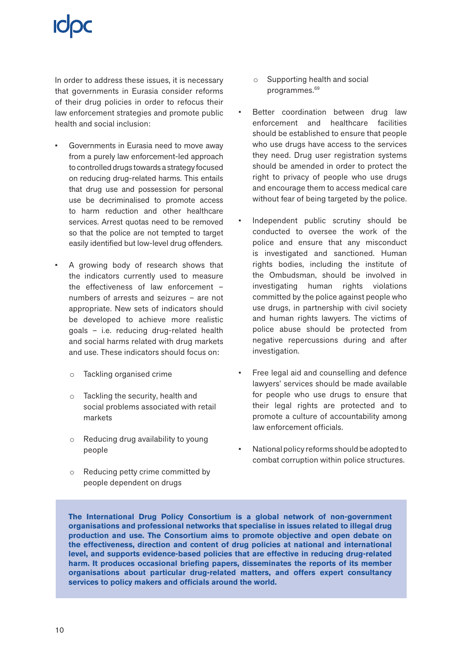In order to address these issues, it is necessary that governments in Eurasia consider reforms of their drug policies in order to refocus their law enforcement strategies and promote public health and social inclusion:

- Governments in Eurasia need to move away from a purely law enforcement-led approach to controlled drugs towards a strategy focused on reducing drug-related harms. This entails that drug use and possession for personal use be decriminalised to promote access to harm reduction and other healthcare services. Arrest quotas need to be removed so that the police are not tempted to target easily identified but low-level drug offenders.
- A growing body of research shows that the indicators currently used to measure the effectiveness of law enforcement – numbers of arrests and seizures – are not appropriate. New sets of indicators should be developed to achieve more realistic goals – i.e. reducing drug-related health and social harms related with drug markets and use. These indicators should focus on:
	- o Tackling organised crime
	- o Tackling the security, health and social problems associated with retail markets
	- o Reducing drug availability to young people
	- o Reducing petty crime committed by people dependent on drugs
- o Supporting health and social programmes.<sup>69</sup>
- Better coordination between drug law enforcement and healthcare facilities should be established to ensure that people who use drugs have access to the services they need. Drug user registration systems should be amended in order to protect the right to privacy of people who use drugs and encourage them to access medical care without fear of being targeted by the police.
- Independent public scrutiny should be conducted to oversee the work of the police and ensure that any misconduct is investigated and sanctioned. Human rights bodies, including the institute of the Ombudsman, should be involved in investigating human rights violations committed by the police against people who use drugs, in partnership with civil society and human rights lawyers. The victims of police abuse should be protected from negative repercussions during and after investigation.
- Free legal aid and counselling and defence lawyers' services should be made available for people who use drugs to ensure that their legal rights are protected and to promote a culture of accountability among law enforcement officials.
- National policy reforms should be adopted to combat corruption within police structures.

**The International Drug Policy Consortium is a global network of non-government organisations and professional networks that specialise in issues related to illegal drug production and use. The Consortium aims to promote objective and open debate on the effectiveness, direction and content of drug policies at national and international level, and supports evidence-based policies that are effective in reducing drug-related harm. It produces occasional briefing papers, disseminates the reports of its member organisations about particular drug-related matters, and offers expert consultancy services to policy makers and officials around the world.**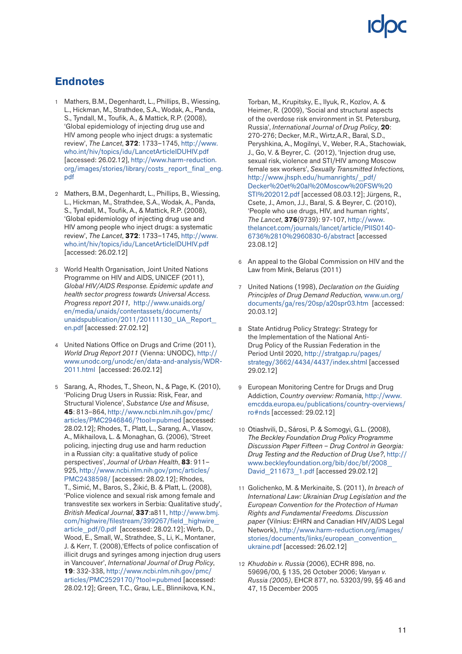# **Endnotes**

- 1 Mathers, B.M., Degenhardt, L., Phillips, B., Wiessing, L., Hickman, M., Strathdee, S.A., Wodak, A., Panda, S., Tyndall, M., Toufik, A., & Mattick, R.P. (2008), 'Global epidemiology of injecting drug use and HIV among people who inject drugs: a systematic review', *The Lancet*, **372**: 1733–1745, [http://www.](http://www.who.int/hiv/topics/idu/LancetArticleIDUHIV.pdf) [who.int/hiv/topics/idu/LancetArticleIDUHIV.pdf](http://www.who.int/hiv/topics/idu/LancetArticleIDUHIV.pdf) [accessed: 26.02.12], [http://www.harm-reduction.](http://www.harm-reduction.org/images/stories/library/costs_report_final_eng.pdf) [org/images/stories/library/costs\\_report\\_final\\_eng.](http://www.harm-reduction.org/images/stories/library/costs_report_final_eng.pdf) [pdf](http://www.harm-reduction.org/images/stories/library/costs_report_final_eng.pdf)
- 2 Mathers, B.M., Degenhardt, L., Phillips, B., Wiessing, L., Hickman, M., Strathdee, S.A., Wodak, A., Panda, S., Tyndall, M., Toufik, A., & Mattick, R.P. (2008), 'Global epidemiology of injecting drug use and HIV among people who inject drugs: a systematic review', *The Lancet*, **372**: 1733–1745, [http://www.](http://www.who.int/hiv/topics/idu/LancetArticleIDUHIV.pdf) [who.int/hiv/topics/idu/LancetArticleIDUHIV.pdf](http://www.who.int/hiv/topics/idu/LancetArticleIDUHIV.pdf) [accessed: 26.02.12]
- 3 World Health Organisation, Joint United Nations Programme on HIV and AIDS, UNICEF (2011), *Global HIV/AIDS Response. Epidemic update and health sector progress towards Universal Access. Progress report 2011,* [http://www.unaids.org/](http://www.unaids.org/en/media/unaids/contentassets/documents/unaidspublication/2011/20111130_UA_Report_en.pdf) [en/media/unaids/contentassets/documents/](http://www.unaids.org/en/media/unaids/contentassets/documents/unaidspublication/2011/20111130_UA_Report_en.pdf) unaidspublication/2011/20111130 UA Report [en.pdf](http://www.unaids.org/en/media/unaids/contentassets/documents/unaidspublication/2011/20111130_UA_Report_en.pdf) [accessed: 27.02.12]
- 4 United Nations Office on Drugs and Crime (2011), *World Drug Report 2011* (Vienna: UNODC), [http://](http://www.unodc.org/unodc/en/data-and-analysis/WDR-2011.html) [www.unodc.org/unodc/en/data-and-analysis/WDR-](http://www.unodc.org/unodc/en/data-and-analysis/WDR-2011.html)[2011.html](http://www.unodc.org/unodc/en/data-and-analysis/WDR-2011.html) [accessed: 26.02.12]
- 5 Sarang, A., Rhodes, T., Sheon, N., & Page, K. (2010), 'Policing Drug Users in Russia: Risk, Fear, and Structural Violence', *Substance Use and Misuse*, **45**: 813–864, [http://www.ncbi.nlm.nih.gov/pmc/](http://www.ncbi.nlm.nih.gov/pmc/articles/PMC2946846/?tool=pubmed) [articles/PMC2946846/?tool=pubmed](http://www.ncbi.nlm.nih.gov/pmc/articles/PMC2946846/?tool=pubmed) [accessed: 28.02.12]; Rhodes, T., Platt, L., Sarang, A., Vlasov, A., Mikhailova, L. & Monaghan, G. (2006), 'Street policing, injecting drug use and harm reduction in a Russian city: a qualitative study of police perspectives', *Journal of Urban Health*, **83**: 911– 925, [http://www.ncbi.nlm.nih.gov/pmc/articles/](http://www.ncbi.nlm.nih.gov/pmc/articles/PMC2438598/) [PMC2438598/](http://www.ncbi.nlm.nih.gov/pmc/articles/PMC2438598/) [accessed: 28.02.12]; Rhodes, T., Simić, M., Baros, S., Žikić, B. & Platt, L. (2008), 'Police violence and sexual risk among female and transvestite sex workers in Serbia: Qualitative study', *British Medical Journal*, **337**:a811, [http://www.bmj.](http://www.bmj.com/highwire/filestream/399267/field_highwire_article_pdf/0.pdf) [com/highwire/filestream/399267/field\\_highwire\\_](http://www.bmj.com/highwire/filestream/399267/field_highwire_article_pdf/0.pdf) [article\\_pdf/0.pdf](http://www.bmj.com/highwire/filestream/399267/field_highwire_article_pdf/0.pdf) [accessed: 28.02.12]; Werb, D., Wood, E., Small, W., Strathdee, S., Li, K., Montaner, J. & Kerr, T. (2008),'Effects of police confiscation of illicit drugs and syringes among injection drug users in Vancouver', *International Journal of Drug Policy*, **19**: 332-338, [http://www.ncbi.nlm.nih.gov/pmc/](http://www.ncbi.nlm.nih.gov/pmc/articles/PMC2529170/?tool=pubmed) [articles/PMC2529170/?tool=pubmed](http://www.ncbi.nlm.nih.gov/pmc/articles/PMC2529170/?tool=pubmed) [accessed: 28.02.12]; Green, T.C., Grau, L.E., Blinnikova, K.N.,

Torban, M., Krupitsky, E., Ilyuk, R., Kozlov, A. & Heimer, R. (2009), 'Social and structural aspects of the overdose risk environment in St. Petersburg, Russia', *International Journal of Drug Policy*, **20**: 270-276; Decker, M.R., Wirtz,A.R., Baral, S.D., Peryshkina, A., Mogilnyi, V., Weber, R.A., Stachowiak, J., Go, V. & Beyrer, C. (2012), 'Injection drug use, sexual risk, violence and STI/HIV among Moscow female sex workers', *Sexually Transmitted Infections,* [http://www.jhsph.edu/humanrights/\\_pdf/](http://www.jhsph.edu/humanrights/_pdf/Decker et al Moscow FSW STI 2012.pdf) [Decker%20et%20al%20Moscow%20FSW%20](http://www.jhsph.edu/humanrights/_pdf/Decker et al Moscow FSW STI 2012.pdf) [STI%202012.pdf](http://www.jhsph.edu/humanrights/_pdf/Decker et al Moscow FSW STI 2012.pdf) [accessed 08.03.12]; Jürgens, R., Csete, J., Amon, J.J., Baral, S. & Beyrer, C. (2010), 'People who use drugs, HIV, and human rights', *The Lancet*, **376**(9739): 97-107, [http://www.](http://www.thelancet.com/journals/lancet/article/PIIS0140-6736%2810%2960830-6/abstract) [thelancet.com/journals/lancet/article/PIIS0140-](http://www.thelancet.com/journals/lancet/article/PIIS0140-6736%2810%2960830-6/abstract) [6736%2810%2960830-6/abstract](http://www.thelancet.com/journals/lancet/article/PIIS0140-6736%2810%2960830-6/abstract) [accessed 23.08.12]

- 6 An appeal to the Global Commission on HIV and the Law from Mink, Belarus (2011)
- 7 United Nations (1998), *Declaration on the Guiding Principles of Drug Demand Reduction,* [www.un.org/](http://www.un.org/documents/ga/res/20sp/a20spr03.htm) [documents/ga/res/20sp/a20spr03.htm](http://www.un.org/documents/ga/res/20sp/a20spr03.htm) [accessed: 20.03.12]
- 8 State Antidrug Policy Strategy: Strategy for the Implementation of the National Anti-Drug Policy of the Russian Federation in the Period Until 2020, [http://stratgap.ru/pages/](http://stratgap.ru/pages/strategy/3662/4434/4437/index.shtml) [strategy/3662/4434/4437/index.shtml](http://stratgap.ru/pages/strategy/3662/4434/4437/index.shtml) [accessed 29.02.12]
- 9 European Monitoring Centre for Drugs and Drug Addiction, *Country overview: Romania*, [http://www.](http://www.emcdda.europa.eu/publications/country-overviews/ro#nds) [emcdda.europa.eu/publications/country-overviews/](http://www.emcdda.europa.eu/publications/country-overviews/ro#nds) [ro#nds](http://www.emcdda.europa.eu/publications/country-overviews/ro#nds) [accessed: 29.02.12]
- 10 Otiashvili, D., Sárosi, P. & Somogyi, G.L. (2008), *The Beckley Foundation Drug Policy Programme Discussion Paper Fifteen – Drug Control in Georgia: Drug Testing and the Reduction of Drug Use?*, [http://](http://www.beckleyfoundation.org/bib/doc/bf/2008_David_211673_1.pdf) [www.beckleyfoundation.org/bib/doc/bf/2008\\_](http://www.beckleyfoundation.org/bib/doc/bf/2008_David_211673_1.pdf) David 211673 1.pdf [accessed 29.02.12]
- 11 Golichenko, M. & Merkinaite, S. (2011), *In breach of International Law: Ukrainian Drug Legislation and the European Convention for the Protection of Human Rights and Fundamental Freedoms. Discussion paper* (Vilnius: EHRN and Canadian HIV/AIDS Legal Network), [http://www.harm-reduction.org/images/](http://www.harm-reduction.org/images/stories/documents/links/european_convention_ukraine.pdf) [stories/documents/links/european\\_convention\\_](http://www.harm-reduction.org/images/stories/documents/links/european_convention_ukraine.pdf) [ukraine.pdf](http://www.harm-reduction.org/images/stories/documents/links/european_convention_ukraine.pdf) [accessed: 26.02.12]
- 12 *Khudobin v. Russia* (2006), ECHR 898, no. 59696/00, § 135, 26 October 2006; *Vanyan v. Russia (2005)*, EHCR 877, no. 53203/99, §§ 46 and 47, 15 December 2005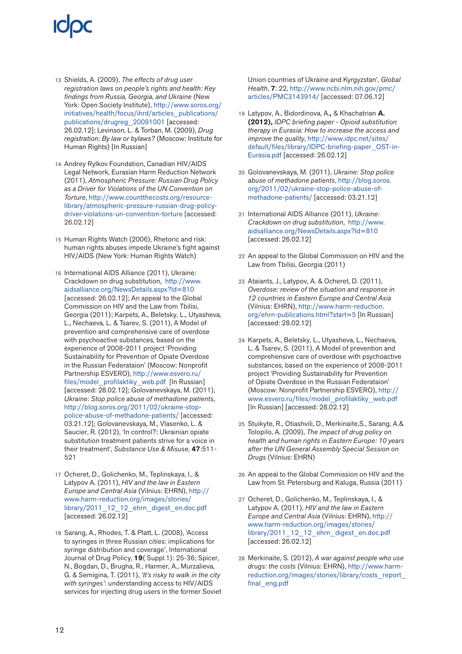- 13 Shields, A. (2009), *The effects of drug user registration laws on people's rights and health: Key findings from Russia, Georgia, and Ukraine* (New York: Open Society Institute), [http://www.soros.org/](http://www.soros.org/initiatives/health/focus/ihrd/articles_publications/publications/drugreg_20091001) [initiatives/health/focus/ihrd/articles\\_publications/](http://www.soros.org/initiatives/health/focus/ihrd/articles_publications/publications/drugreg_20091001) [publications/drugreg\\_20091001](http://www.soros.org/initiatives/health/focus/ihrd/articles_publications/publications/drugreg_20091001) [accessed: 26.02.12]; Levinson, L. & Torban, M. (2009), *Drug registration: By law or bylaws?* (Moscow: Institute for Human Rights) [In Russian]
- 14 Andrey Rylkov Foundation, Canadian HIV/AIDS Legal Network, Eurasian Harm Reduction Network (2011), *Atmospheric Pressure: Russian Drug Policy as a Driver for Violations of the UN Convention on Torture*, [http://www.countthecosts.org/resource](http://www.countthecosts.org/resource-library/atmospheric-pressure-russian-drug-policy-driver-violations-un-convention-torture)[library/atmospheric-pressure-russian-drug-policy](http://www.countthecosts.org/resource-library/atmospheric-pressure-russian-drug-policy-driver-violations-un-convention-torture)[driver-violations-un-convention-torture](http://www.countthecosts.org/resource-library/atmospheric-pressure-russian-drug-policy-driver-violations-un-convention-torture) [accessed: 26.02.12]
- 15 Human Rights Watch (2006), Rhetoric and risk: human rights abuses impede Ukraine's fight against HIV/AIDS (New York: Human Rights Watch)
- 16 International AIDS Alliance (2011), Ukraine: Crackdown on drug substitution, [http://www.](http://www.aidsalliance.org/NewsDetails.aspx?Id=810) [aidsalliance.org/NewsDetails.aspx?Id=810](http://www.aidsalliance.org/NewsDetails.aspx?Id=810) [accessed: 26.02.12]; An appeal to the Global Commission on HIV and the Law from Tbilisi, Georgia (2011); Karpets, A., Beletsky, L., Utyasheva, L., Nechaeva, L. & Tsarev, S. (2011), A Model of prevention and comprehensive care of overdose with psychoactive substances, based on the experience of 2008-2011 project 'Providing Sustainability for Prevention of Opiate Overdose in the Russian Federataion' (Moscow: Nonprofit Partnership ESVERO), [http://www.esvero.ru/](http://www.esvero.ru/files/model_profilaktiky_web.pdf) files/model profilaktiky web.pdf [In Russian] [accessed: 28.02.12]; Golovanevskaya, M. (2011), *Ukraine: Stop police abuse of methadone patients*, [http://blog.soros.org/2011/02/ukraine-stop](http://blog.soros.org/2011/02/ukraine-stop-police-abuse-of-methadone-patients/)[police-abuse-of-methadone-patients/](http://blog.soros.org/2011/02/ukraine-stop-police-abuse-of-methadone-patients/) [accessed: 03.21.12]; Golovanevskaya, M., Vlasenko, L. & Saucier, R. (2012), 'In control?: Ukrainian opiate substitution treatment patients strive for a voice in their treatment', *Substance Use & Misuse*, **47**:511- 521
- 17 Ocheret, D., Golichenko, M., Teplinskaya, I., & Latypov A. (2011), *HIV and the law in Eastern Europe and Central Asia* (Vilnius: EHRN), [http://](http://www.harm-reduction.org/images/stories/library/2011_12_12_ehrn_digest_en.doc.pdf) [www.harm-reduction.org/images/stories/](http://www.harm-reduction.org/images/stories/library/2011_12_12_ehrn_digest_en.doc.pdf) [library/2011\\_12\\_12\\_ehrn\\_digest\\_en.doc.pdf](http://www.harm-reduction.org/images/stories/library/2011_12_12_ehrn_digest_en.doc.pdf) [accessed: 26.02.12]
- 18 Sarang, A., Rhodes, T. & Platt, L. (2008), 'Access to syringes in three Russian cities: implications for syringe distribution and coverage', International Journal of Drug Policy, **19**( Suppl.1): 25-36; Spicer, N., Bogdan, D., Brugha, R., Harmer, A., Murzalieva, G. & Semigina, T. (2011), *'It's risky to walk in the city with syringes'*: understanding access to HIV/AIDS services for injecting drug users in the former Soviet

Union countries of Ukraine and Kyrgyzstan', *Global Health*, **7**: 22, [http://www.ncbi.nlm.nih.gov/pmc/](http://www.ncbi.nlm.nih.gov/pmc/articles/PMC3143914/) [articles/PMC3143914/](http://www.ncbi.nlm.nih.gov/pmc/articles/PMC3143914/) [accessed: 07.06.12]

- 19 Latypov, A., Bidordinova, A.**,** & Khachatrian **A. (2012),** *IDPC briefing paper - Opioid substitution therapy in Eurasia: How to increase the access and improve the quality*, [http://www.idpc.net/sites/](http://www.idpc.net/sites/default/files/library/IDPC-briefing-paper_OST-in-Eurasia.pdf) [default/files/library/IDPC-briefing-paper\\_OST-in-](http://www.idpc.net/sites/default/files/library/IDPC-briefing-paper_OST-in-Eurasia.pdf)[Eurasia.pdf](http://www.idpc.net/sites/default/files/library/IDPC-briefing-paper_OST-in-Eurasia.pdf) [accessed: 26.02.12]
- 20 Golovanevskaya, M. (2011), *Ukraine: Stop police abuse of methadone patients*, [http://blog.soros.](http://blog.soros.org/2011/02/ukraine-stop-police-abuse-of-methadone-patients/) [org/2011/02/ukraine-stop-police-abuse-of](http://blog.soros.org/2011/02/ukraine-stop-police-abuse-of-methadone-patients/)[methadone-patients/](http://blog.soros.org/2011/02/ukraine-stop-police-abuse-of-methadone-patients/) [accessed: 03.21.12]
- 21 International AIDS Alliance (2011), *Ukraine: Crackdown on drug substitution*, [http://www.](http://www.aidsalliance.org/NewsDetails.aspx?Id=810) [aidsalliance.org/NewsDetails.aspx?Id=810](http://www.aidsalliance.org/NewsDetails.aspx?Id=810) [accessed: 26.02.12]
- 22 An appeal to the Global Commission on HIV and the Law from Tbilisi, Georgia (2011)
- 23 Ataiants, J., Latypov, A. & Ocheret, D. (2011), *Overdose: review of the situation and response in 12 countries in Eastern Europe and Central Asia* (Vilnius: EHRN), [http://www.harm-reduction.](http://www.harm-reduction.org/ehrn-publications.html?start=5) [org/ehrn-publications.html?start=5](http://www.harm-reduction.org/ehrn-publications.html?start=5) [In Russian] [accessed: 28.02.12]
- 24 Karpets, A., Beletsky, L., Utyasheva, L., Nechaeva, L. & Tsarev, S. (2011), A Model of prevention and comprehensive care of overdose with psychoactive substances, based on the experience of 2008-2011 project 'Providing Sustainability for Prevention of Opiate Overdose in the Russian Federataion' (Moscow: Nonprofit Partnership ESVERO), [http://](http://www.esvero.ru/files/model_profilaktiky_web.pdf) [www.esvero.ru/files/model\\_profilaktiky\\_web.pdf](http://www.esvero.ru/files/model_profilaktiky_web.pdf) [In Russian] [accessed: 28.02.12]
- 25 Stuikyte, R., Otiashvili, D., Merkinaite,S., Sarang, A.& Tolopilo, A. (2009), *The impact of drug policy on health and human rights in Eastern Europe: 10 years after the UN General Assembly Special Session on Drugs* (Vilnius: EHRN)
- 26 An appeal to the Global Commission on HIV and the Law from St. Petersburg and Kaluga, Russia (2011)
- 27 Ocheret, D., Golichenko, M., Teplinskaya, I., & Latypov A. (2011), *HIV and the law in Eastern Europe and Central Asia* (Vilnius: EHRN), [http://](http://www.harm-reduction.org/images/stories/library/2011_12_12_ehrn_digest_en.doc.pdf) [www.harm-reduction.org/images/stories/](http://www.harm-reduction.org/images/stories/library/2011_12_12_ehrn_digest_en.doc.pdf) [library/2011\\_12\\_12\\_ehrn\\_digest\\_en.doc.pdf](http://www.harm-reduction.org/images/stories/library/2011_12_12_ehrn_digest_en.doc.pdf) [accessed: 26.02.12]
- 28 Merkinaite, S*.* (2012), *A war against people who use drugs: the costs* (Vilnius: EHRN), [http://www.harm](http://www.harm-reduction.org/images/stories/library/costs_report_final_eng.pdf)[reduction.org/images/stories/library/costs\\_report\\_](http://www.harm-reduction.org/images/stories/library/costs_report_final_eng.pdf) [final\\_eng.pdf](http://www.harm-reduction.org/images/stories/library/costs_report_final_eng.pdf)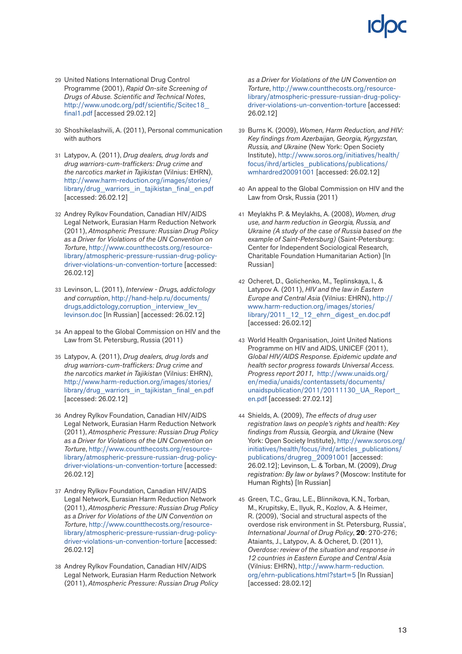- 29 United Nations International Drug Control Programme (2001), *Rapid On-site Screening of Drugs of Abuse. Scientific and Technical Notes*, [http://www.unodc.org/pdf/scientific/Scitec18\\_](http://www.unodc.org/pdf/scientific/Scitec18_final1.pdf) [final1.pdf](http://www.unodc.org/pdf/scientific/Scitec18_final1.pdf) [accessed 29.02.12]
- 30 Shoshikelashvili, A. (2011), Personal communication with authors
- 31 Latypov, A. (2011), *Drug dealers, drug lords and drug warriors-cum-traffickers: Drug crime and the narcotics market in Tajikistan* (Vilnius: EHRN), [http://www.harm-reduction.org/images/stories/](http://www.harm-reduction.org/images/stories/library/drug_warriors_in_tajikistan_final_en.pdf) [library/drug\\_warriors\\_in\\_tajikistan\\_final\\_en.pdf](http://www.harm-reduction.org/images/stories/library/drug_warriors_in_tajikistan_final_en.pdf) [accessed: 26.02.12]
- 32 Andrey Rylkov Foundation, Canadian HIV/AIDS Legal Network, Eurasian Harm Reduction Network (2011), *Atmospheric Pressure: Russian Drug Policy as a Driver for Violations of the UN Convention on Torture*, [http://www.countthecosts.org/resource](http://www.countthecosts.org/resource-library/atmospheric-pressure-russian-drug-policy-driver-violations-un-convention-torture)[library/atmospheric-pressure-russian-drug-policy](http://www.countthecosts.org/resource-library/atmospheric-pressure-russian-drug-policy-driver-violations-un-convention-torture)[driver-violations-un-convention-torture](http://www.countthecosts.org/resource-library/atmospheric-pressure-russian-drug-policy-driver-violations-un-convention-torture) [accessed: 26.02.12]
- 33 Levinson, L. (2011), *Interview Drugs, addictology and corruption*, [http://hand-help.ru/documents/](http://hand-help.ru/documents/drugs,addictology,corruption_interview_lev_levinson.doc) drugs,addictology,corruption\_interview\_lev [levinson.doc](http://hand-help.ru/documents/drugs,addictology,corruption_interview_lev_levinson.doc) [In Russian] [accessed: 26.02.12]
- 34 An appeal to the Global Commission on HIV and the Law from St. Petersburg, Russia (2011)
- 35 Latypov, A. (2011), *Drug dealers, drug lords and drug warriors-cum-traffickers: Drug crime and the narcotics market in Tajikistan* (Vilnius: EHRN), [http://www.harm-reduction.org/images/stories/](http://www.harm-reduction.org/images/stories/library/drug_warriors_in_tajikistan_final_en.pdf) [library/drug\\_warriors\\_in\\_tajikistan\\_final\\_en.pdf](http://www.harm-reduction.org/images/stories/library/drug_warriors_in_tajikistan_final_en.pdf) [accessed: 26.02.12]
- 36 Andrey Rylkov Foundation, Canadian HIV/AIDS Legal Network, Eurasian Harm Reduction Network (2011), *Atmospheric Pressure: Russian Drug Policy as a Driver for Violations of the UN Convention on Torture*, [http://www.countthecosts.org/resource](http://www.countthecosts.org/resource-library/atmospheric-pressure-russian-drug-policy-driver-violations-un-convention-torture)[library/atmospheric-pressure-russian-drug-policy](http://www.countthecosts.org/resource-library/atmospheric-pressure-russian-drug-policy-driver-violations-un-convention-torture)[driver-violations-un-convention-torture](http://www.countthecosts.org/resource-library/atmospheric-pressure-russian-drug-policy-driver-violations-un-convention-torture) [accessed: 26.02.12]
- 37 Andrey Rylkov Foundation, Canadian HIV/AIDS Legal Network, Eurasian Harm Reduction Network (2011), *Atmospheric Pressure: Russian Drug Policy as a Driver for Violations of the UN Convention on Torture*, [http://www.countthecosts.org/resource](http://www.countthecosts.org/resource-library/atmospheric-pressure-russian-drug-policy-driver-violations-un-convention-torture)[library/atmospheric-pressure-russian-drug-policy](http://www.countthecosts.org/resource-library/atmospheric-pressure-russian-drug-policy-driver-violations-un-convention-torture)[driver-violations-un-convention-torture](http://www.countthecosts.org/resource-library/atmospheric-pressure-russian-drug-policy-driver-violations-un-convention-torture) [accessed: 26.02.12]
- 38 Andrey Rylkov Foundation, Canadian HIV/AIDS Legal Network, Eurasian Harm Reduction Network (2011), *Atmospheric Pressure: Russian Drug Policy*

*as a Driver for Violations of the UN Convention on Torture*, [http://www.countthecosts.org/resource](http://www.countthecosts.org/resource-library/atmospheric-pressure-russian-drug-policy-driver-violations-un-convention-torture)[library/atmospheric-pressure-russian-drug-policy](http://www.countthecosts.org/resource-library/atmospheric-pressure-russian-drug-policy-driver-violations-un-convention-torture)[driver-violations-un-convention-torture](http://www.countthecosts.org/resource-library/atmospheric-pressure-russian-drug-policy-driver-violations-un-convention-torture) [accessed: 26.02.12]

- 39 Burns K. (2009), *Women, Harm Reduction, and HIV: Key findings from Azerbaijan, Georgia, Kyrgyzstan, Russia, and Ukraine* (New York: Open Society Institute), [http://www.soros.org/initiatives/health/](http://www.soros.org/initiatives/health/focus/ihrd/articles_publications/publications/wmhardred20091001) [focus/ihrd/articles\\_publications/publications/](http://www.soros.org/initiatives/health/focus/ihrd/articles_publications/publications/wmhardred20091001) [wmhardred20091001](http://www.soros.org/initiatives/health/focus/ihrd/articles_publications/publications/wmhardred20091001) [accessed: 26.02.12]
- 40 An appeal to the Global Commission on HIV and the Law from Orsk, Russia (2011)
- 41 Meylakhs P. & Meylakhs, A. (2008), *Women, drug use, and harm reduction in Georgia, Russia, and Ukraine (A study of the case of Russia based on the example of Saint-Petersburg)* (Saint-Petersburg: Center for Independent Sociological Research, Charitable Foundation Humanitarian Action) [In Russian]
- 42 Ocheret, D., Golichenko, M., Teplinskaya, I., & Latypov A. (2011), *HIV and the law in Eastern Europe and Central Asia* (Vilnius: EHRN), [http://](http://www.harm-reduction.org/images/stories/library/2011_12_12_ehrn_digest_en.doc.pdf) [www.harm-reduction.org/images/stories/](http://www.harm-reduction.org/images/stories/library/2011_12_12_ehrn_digest_en.doc.pdf) [library/2011\\_12\\_12\\_ehrn\\_digest\\_en.doc.pdf](http://www.harm-reduction.org/images/stories/library/2011_12_12_ehrn_digest_en.doc.pdf) [accessed: 26.02.12]
- 43 World Health Organisation, Joint United Nations Programme on HIV and AIDS, UNICEF (2011), *Global HIV/AIDS Response. Epidemic update and health sector progress towards Universal Access. Progress report 2011,* [http://www.unaids.org/](http://www.unaids.org/en/media/unaids/contentassets/documents/unaidspublication/2011/20111130_UA_Report_en.pdf) [en/media/unaids/contentassets/documents/](http://www.unaids.org/en/media/unaids/contentassets/documents/unaidspublication/2011/20111130_UA_Report_en.pdf) unaidspublication/2011/20111130\_UA\_Report [en.pdf](http://www.unaids.org/en/media/unaids/contentassets/documents/unaidspublication/2011/20111130_UA_Report_en.pdf) [accessed: 27.02.12]
- 44 Shields, A. (2009), *The effects of drug user registration laws on people's rights and health: Key findings from Russia, Georgia, and Ukraine* (New York: Open Society Institute), [http://www.soros.org/](http://www.soros.org/initiatives/health/focus/ihrd/articles_publications/publications/drugreg_20091001) [initiatives/health/focus/ihrd/articles\\_publications/](http://www.soros.org/initiatives/health/focus/ihrd/articles_publications/publications/drugreg_20091001) [publications/drugreg\\_20091001](http://www.soros.org/initiatives/health/focus/ihrd/articles_publications/publications/drugreg_20091001) [accessed: 26.02.12]; Levinson, L. & Torban, M. (2009), *Drug registration: By law or bylaws?* (Moscow: Institute for Human Rights) [In Russian]
- 45 Green, T.C., Grau, L.E., Blinnikova, K.N., Torban, M., Krupitsky, E., Ilyuk, R., Kozlov, A. & Heimer, R. (2009), 'Social and structural aspects of the overdose risk environment in St. Petersburg, Russia', *International Journal of Drug Policy*, **20**: 270-276; Ataiants, J., Latypov, A. & Ocheret, D. (2011), *Overdose: review of the situation and response in 12 countries in Eastern Europe and Central Asia* (Vilnius: EHRN), [http://www.harm-reduction.](http://www.harm-reduction.org/ehrn-publications.html?start=5) [org/ehrn-publications.html?start=5](http://www.harm-reduction.org/ehrn-publications.html?start=5) [In Russian] [accessed: 28.02.12]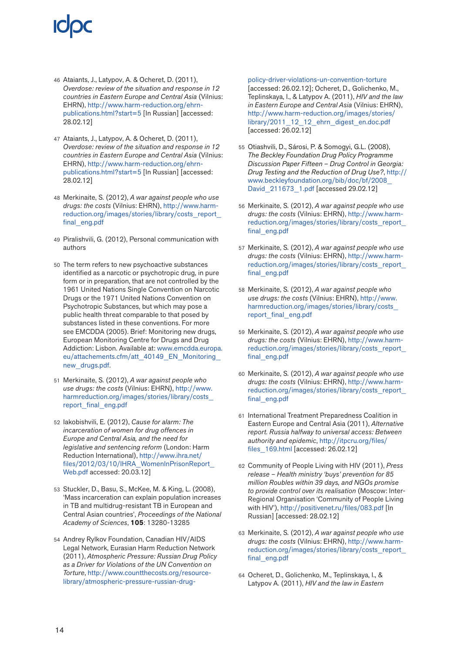- 46 Ataiants, J., Latypov, A. & Ocheret, D. (2011), *Overdose: review of the situation and response in 12 countries in Eastern Europe and Central Asia* (Vilnius: EHRN), [http://www.harm-reduction.org/ehrn](http://www.harm-reduction.org/ehrn-publications.html?start=5)[publications.html?start=5](http://www.harm-reduction.org/ehrn-publications.html?start=5) [In Russian] [accessed: 28.02.12]
- 47 Ataiants, J., Latypov, A. & Ocheret, D. (2011), *Overdose: review of the situation and response in 12 countries in Eastern Europe and Central Asia* (Vilnius: EHRN), [http://www.harm-reduction.org/ehrn](http://www.harm-reduction.org/ehrn-publications.html?start=5)[publications.html?start=5](http://www.harm-reduction.org/ehrn-publications.html?start=5) [In Russian] [accessed: 28.02.12]
- 48 Merkinaite, S*.* (2012), *A war against people who use drugs: the costs* (Vilnius: EHRN), [http://www.harm](http://www.harm-reduction.org/images/stories/library/costs_report_final_eng.pdf)[reduction.org/images/stories/library/costs\\_report\\_](http://www.harm-reduction.org/images/stories/library/costs_report_final_eng.pdf) [final\\_eng.pdf](http://www.harm-reduction.org/images/stories/library/costs_report_final_eng.pdf)
- 49 Piralishvili, G. (2012), Personal communication with authors
- 50 The term refers to new psychoactive substances identified as a narcotic or psychotropic drug, in pure form or in preparation, that are not controlled by the 1961 United Nations Single Convention on Narcotic Drugs or the 1971 United Nations Convention on Psychotropic Substances, but which may pose a public health threat comparable to that posed by substances listed in these conventions. For more see EMCDDA (2005). Brief: Monitoring new drugs, European Monitoring Centre for Drugs and Drug Addiction: Lisbon. Available at: [www.emcdda.europa.](http://www.emcdda.europa.eu/attachements.cfm/att_40149_EN_Monitoring_new_drugs.pdf) [eu/attachements.cfm/att\\_40149\\_EN\\_Monitoring\\_](http://www.emcdda.europa.eu/attachements.cfm/att_40149_EN_Monitoring_new_drugs.pdf) [new\\_drugs.pdf.](http://www.emcdda.europa.eu/attachements.cfm/att_40149_EN_Monitoring_new_drugs.pdf)
- 51 Merkinaite, S*.* (2012), *A war against people who use drugs: the costs* (Vilnius: EHRN), [http://www.](http://www.harmreduction.org/images/stories/library/costs_report_final_eng.pdf) [harmreduction.org/images/stories/library/costs\\_](http://www.harmreduction.org/images/stories/library/costs_report_final_eng.pdf) [report\\_final\\_eng.pdf](http://www.harmreduction.org/images/stories/library/costs_report_final_eng.pdf)
- 52 Iakobishvili, E. (2012), *Cause for alarm: The incarceration of women for drug offences in Europe and Central Asia, and the need for legislative and sentencing reform* (London: Harm Reduction International), [http://www.ihra.net/](http://www.ihra.net/files/2012/03/10/IHRA_WomenInPrisonReport_Web.pdf) [files/2012/03/10/IHRA\\_WomenInPrisonReport\\_](http://www.ihra.net/files/2012/03/10/IHRA_WomenInPrisonReport_Web.pdf) [Web.pdf](http://www.ihra.net/files/2012/03/10/IHRA_WomenInPrisonReport_Web.pdf) accessed: 20.03.12]
- 53 Stuckler, D., Basu, S., McKee, M. & King, L. (2008), 'Mass incarceration can explain population increases in TB and multidrug-resistant TB in European and Central Asian countries', *Proceedings of the National Academy of Sciences*, **105**: 13280-13285
- 54 Andrey Rylkov Foundation, Canadian HIV/AIDS Legal Network, Eurasian Harm Reduction Network (2011), *Atmospheric Pressure: Russian Drug Policy as a Driver for Violations of the UN Convention on Torture*, [http://www.countthecosts.org/resource](http://www.countthecosts.org/resource-library/atmospheric-pressure-russian-drug-policy-driver-violations-un-convention-torture)[library/atmospheric-pressure-russian-drug-](http://www.countthecosts.org/resource-library/atmospheric-pressure-russian-drug-policy-driver-violations-un-convention-torture)

[policy-driver-violations-un-convention-torture](http://www.countthecosts.org/resource-library/atmospheric-pressure-russian-drug-policy-driver-violations-un-convention-torture) [accessed: 26.02.12]; Ocheret, D., Golichenko, M., Teplinskaya, I., & Latypov A. (2011), *HIV and the law in Eastern Europe and Central Asia* (Vilnius: EHRN), [http://www.harm-reduction.org/images/stories/](http://www.harm-reduction.org/images/stories/library/2011_12_12_ehrn_digest_en.doc.pdf) [library/2011\\_12\\_12\\_ehrn\\_digest\\_en.doc.pdf](http://www.harm-reduction.org/images/stories/library/2011_12_12_ehrn_digest_en.doc.pdf) [accessed: 26.02.12]

- 55 Otiashvili, D., Sárosi, P. & Somogyi, G.L. (2008), *The Beckley Foundation Drug Policy Programme Discussion Paper Fifteen – Drug Control in Georgia: Drug Testing and the Reduction of Drug Use?*, [http://](http://www.beckleyfoundation.org/bib/doc/bf/2008_David_211673_1.pdf) [www.beckleyfoundation.org/bib/doc/bf/2008\\_](http://www.beckleyfoundation.org/bib/doc/bf/2008_David_211673_1.pdf) [David\\_211673\\_1.pdf](http://www.beckleyfoundation.org/bib/doc/bf/2008_David_211673_1.pdf) [accessed 29.02.12]
- 56 Merkinaite, S*.* (2012), *A war against people who use drugs: the costs* (Vilnius: EHRN), [http://www.harm](http://www.harm-reduction.org/images/stories/library/costs_report_final_eng.pdf)[reduction.org/images/stories/library/costs\\_report\\_](http://www.harm-reduction.org/images/stories/library/costs_report_final_eng.pdf) [final\\_eng.pdf](http://www.harm-reduction.org/images/stories/library/costs_report_final_eng.pdf)
- 57 Merkinaite, S*.* (2012), *A war against people who use drugs: the costs* (Vilnius: EHRN), [http://www.harm](http://www.harm-reduction.org/images/stories/library/costs_report_final_eng.pdf)[reduction.org/images/stories/library/costs\\_report\\_](http://www.harm-reduction.org/images/stories/library/costs_report_final_eng.pdf) [final\\_eng.pdf](http://www.harm-reduction.org/images/stories/library/costs_report_final_eng.pdf)
- 58 Merkinaite, S*.* (2012), *A war against people who use drugs: the costs* (Vilnius: EHRN), [http://www.](http://www.harmreduction.org/images/stories/library/costs_report_final_eng.pdf) [harmreduction.org/images/stories/library/costs\\_](http://www.harmreduction.org/images/stories/library/costs_report_final_eng.pdf) [report\\_final\\_eng.pdf](http://www.harmreduction.org/images/stories/library/costs_report_final_eng.pdf)
- 59 Merkinaite, S*.* (2012), *A war against people who use drugs: the costs* (Vilnius: EHRN), [http://www.harm](http://www.harm-reduction.org/images/stories/library/costs_report_final_eng.pdf)[reduction.org/images/stories/library/costs\\_report\\_](http://www.harm-reduction.org/images/stories/library/costs_report_final_eng.pdf) [final\\_eng.pdf](http://www.harm-reduction.org/images/stories/library/costs_report_final_eng.pdf)
- 60 Merkinaite, S*.* (2012), *A war against people who use drugs: the costs* (Vilnius: EHRN), [http://www.harm](http://www.harm-reduction.org/images/stories/library/costs_report_final_eng.pdf)[reduction.org/images/stories/library/costs\\_report\\_](http://www.harm-reduction.org/images/stories/library/costs_report_final_eng.pdf) [final\\_eng.pdf](http://www.harm-reduction.org/images/stories/library/costs_report_final_eng.pdf)
- 61 International Treatment Preparedness Coalition in Eastern Europe and Central Asia (2011), *Alternative report. Russia halfway to universal access: Between authority and epidemic*, [http://itpcru.org/files/](http://itpcru.org/files/files_169.html) [files\\_169.html](http://itpcru.org/files/files_169.html) [accessed: 26.02.12]
- 62 Community of People Living with HIV (2011), *Press release – Health ministry 'buys' prevention for 85 million Roubles within 39 days, and NGOs promise to provide control over its realisation* (Moscow: Inter-Regional Organisation 'Community of People Living with HIV'), <http://positivenet.ru/files/083.pdf>[In Russian] [accessed: 28.02.12]
- 63 Merkinaite, S*.* (2012), *A war against people who use drugs: the costs* (Vilnius: EHRN), [http://www.harm](http://www.harm-reduction.org/images/stories/library/costs_report_final_eng.pdf)[reduction.org/images/stories/library/costs\\_report\\_](http://www.harm-reduction.org/images/stories/library/costs_report_final_eng.pdf) [final\\_eng.pdf](http://www.harm-reduction.org/images/stories/library/costs_report_final_eng.pdf)
- 64 Ocheret, D., Golichenko, M., Teplinskaya, I., & Latypov A. (2011), *HIV and the law in Eastern*